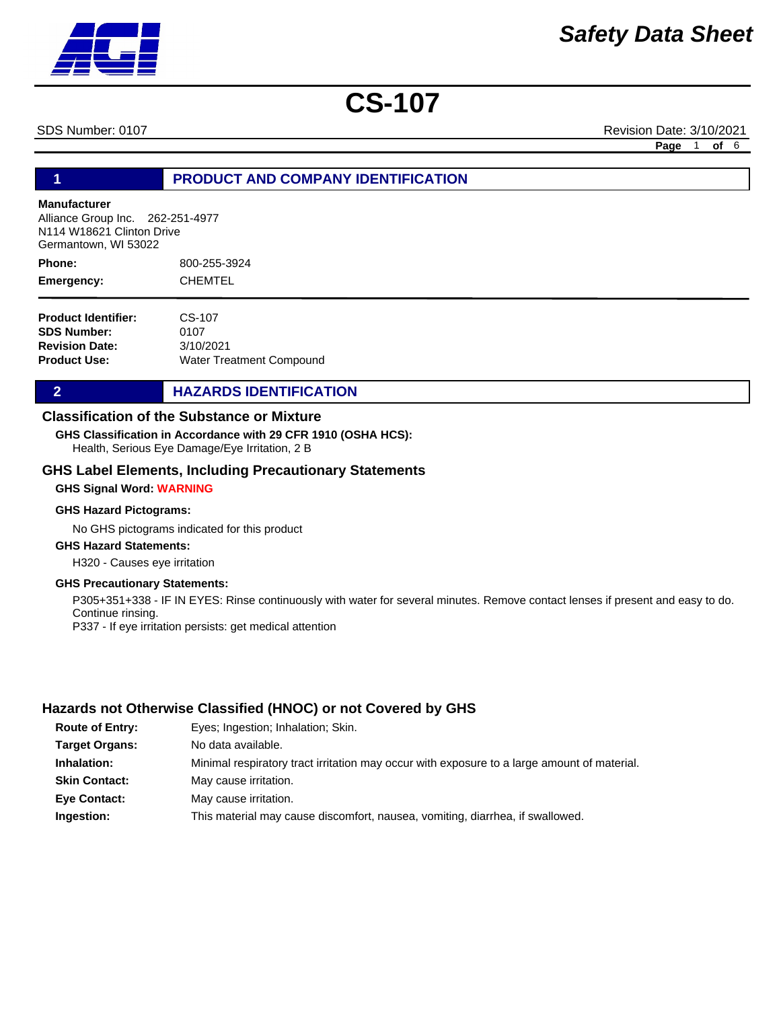SDS Number: 0107 Revision Date: 3/10/2021

**Page** 1 **of** 6

### **1 PRODUCT AND COMPANY IDENTIFICATION**

### **Manufacturer**

Alliance Group Inc. 262-251-4977 N114 W18621 Clinton Drive Germantown, WI 53022

800-255-3924 **CHEMTEL Phone: Emergency:**

| CS-107                   |
|--------------------------|
| 0107                     |
| 3/10/2021                |
| Water Treatment Compound |
|                          |

### **2 HAZARDS IDENTIFICATION**

### **Classification of the Substance or Mixture**

**GHS Classification in Accordance with 29 CFR 1910 (OSHA HCS):**

Health, Serious Eye Damage/Eye Irritation, 2 B

### **GHS Label Elements, Including Precautionary Statements**

#### **GHS Signal Word: WARNING**

#### **GHS Hazard Pictograms:**

No GHS pictograms indicated for this product

### **GHS Hazard Statements:**

H320 - Causes eye irritation

### **GHS Precautionary Statements:**

P305+351+338 - IF IN EYES: Rinse continuously with water for several minutes. Remove contact lenses if present and easy to do. Continue rinsing. P337 - If eye irritation persists: get medical attention

### **Hazards not Otherwise Classified (HNOC) or not Covered by GHS**

| <b>Route of Entry:</b> | Eyes; Ingestion; Inhalation; Skin.                                                          |
|------------------------|---------------------------------------------------------------------------------------------|
| <b>Target Organs:</b>  | No data available.                                                                          |
| Inhalation:            | Minimal respiratory tract irritation may occur with exposure to a large amount of material. |
| <b>Skin Contact:</b>   | May cause irritation.                                                                       |
| <b>Eye Contact:</b>    | May cause irritation.                                                                       |
| Ingestion:             | This material may cause discomfort, nausea, vomiting, diarrhea, if swallowed.               |

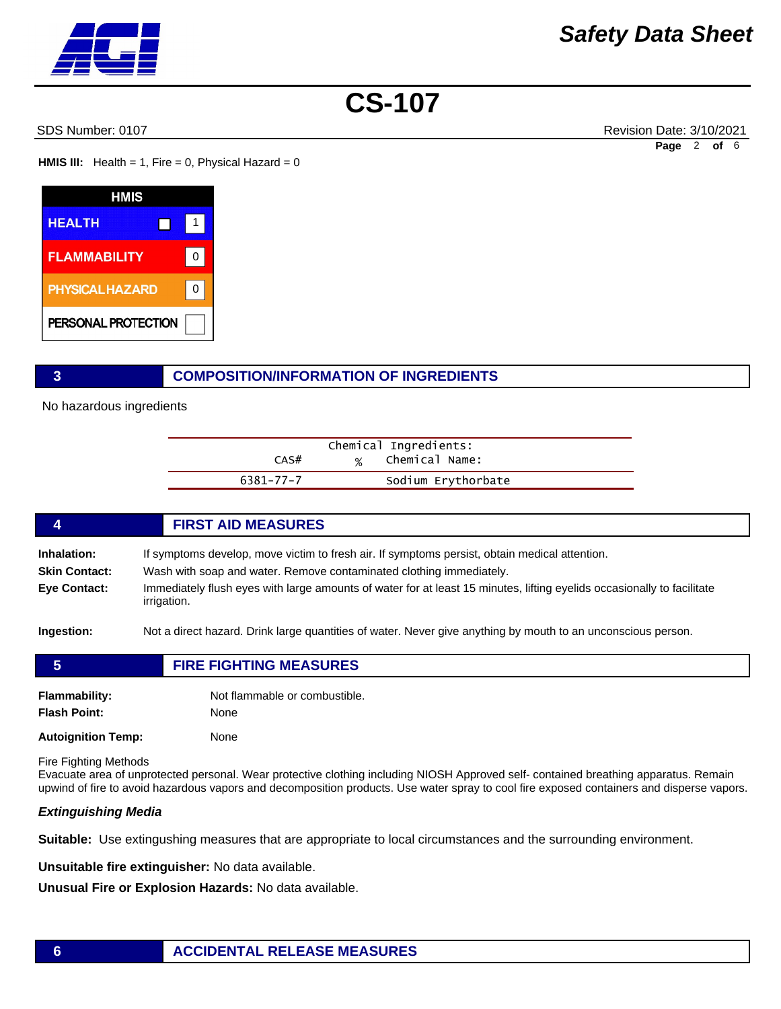SDS Number: 0107 Revision Date: 3/10/2021 **Page** 2 **of** 6

**HMIS III:** Health = 1, Fire = 0, Physical Hazard = 0

| HMIS                   |   |
|------------------------|---|
| <b>HEALTH</b>          |   |
| <b>FLAMMABILITY</b>    | O |
| <b>PHYSICAL HAZARD</b> |   |
| PERSONAL PROTECTION    |   |

### **3 COMPOSITION/INFORMATION OF INGREDIENTS**

No hazardous ingredients

|           | Chemical Ingredients: |
|-----------|-----------------------|
| CAS#      | % Chemical Name:      |
| 6381-77-7 | Sodium Erythorbate    |

### **4 FIRST AID MEASURES Inhalation:** If symptoms develop, move victim to fresh air. If symptoms persist, obtain medical attention. **Skin Contact:** Wash with soap and water. Remove contaminated clothing immediately. **Eye Contact:** Immediately flush eyes with large amounts of water for at least 15 minutes, lifting eyelids occasionally to facilitate irrigation. **Ingestion:** Not a direct hazard. Drink large quantities of water. Never give anything by mouth to an unconscious person.

| 5                   | <b>FIRE FIGHTING MEASURES</b> |  |
|---------------------|-------------------------------|--|
| Flammability:       | Not flammable or combustible. |  |
| <b>Flash Point:</b> | None                          |  |

**Autoignition Temp:** None

Fire Fighting Methods

Evacuate area of unprotected personal. Wear protective clothing including NIOSH Approved self- contained breathing apparatus. Remain upwind of fire to avoid hazardous vapors and decomposition products. Use water spray to cool fire exposed containers and disperse vapors.

### *Extinguishing Media*

**Suitable:** Use extingushing measures that are appropriate to local circumstances and the surrounding environment.

**Unsuitable fire extinguisher:** No data available.

**Unusual Fire or Explosion Hazards:** No data available.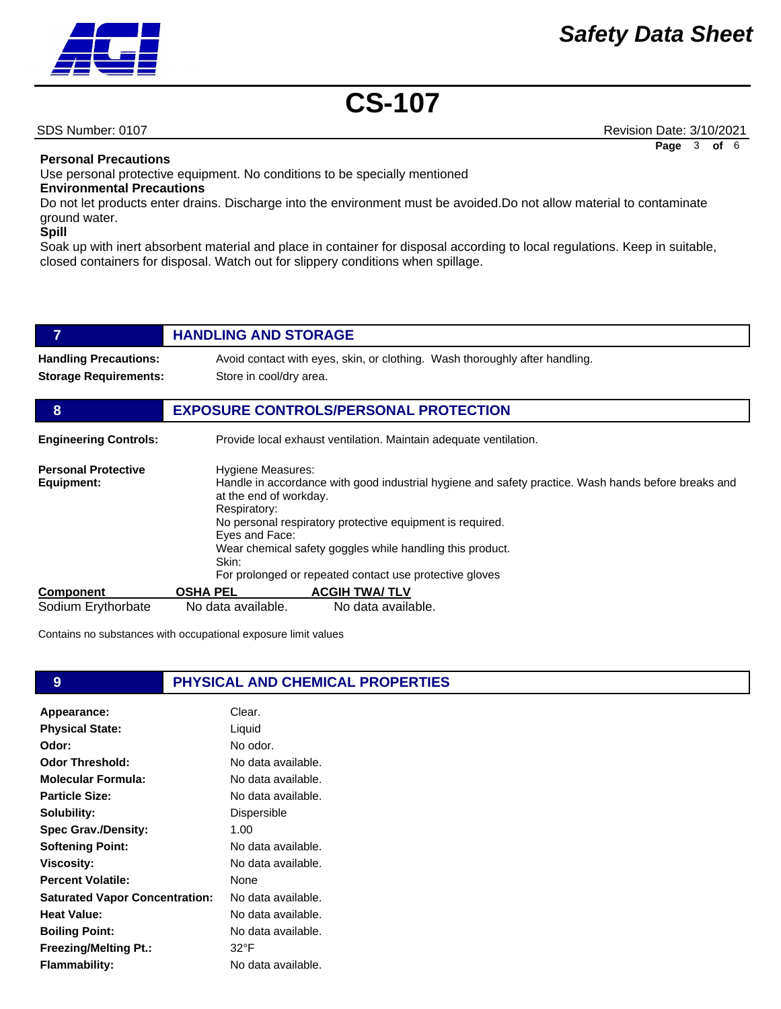

SDS Number: 0107 Revision Date: 3/10/2021 **Page** 3 **of** 6

**Personal Precautions** 

Use personal protective equipment. No conditions to be specially mentioned

### **Environmental Precautions**

Do not let products enter drains. Discharge into the environment must be avoided.Do not allow material to contaminate ground water.

**Spill** 

Soak up with inert absorbent material and place in container for disposal according to local regulations. Keep in suitable, closed containers for disposal. Watch out for slippery conditions when spillage.

|                                                              | <b>HANDLING AND STORAGE</b>                                                                                                                                                                                                                                                                                                                                                        |                                                                             |
|--------------------------------------------------------------|------------------------------------------------------------------------------------------------------------------------------------------------------------------------------------------------------------------------------------------------------------------------------------------------------------------------------------------------------------------------------------|-----------------------------------------------------------------------------|
| <b>Handling Precautions:</b><br><b>Storage Requirements:</b> | Store in cool/dry area.                                                                                                                                                                                                                                                                                                                                                            | Avoid contact with eyes, skin, or clothing. Wash thoroughly after handling. |
| 8                                                            |                                                                                                                                                                                                                                                                                                                                                                                    | <b>EXPOSURE CONTROLS/PERSONAL PROTECTION</b>                                |
| <b>Engineering Controls:</b>                                 |                                                                                                                                                                                                                                                                                                                                                                                    | Provide local exhaust ventilation. Maintain adequate ventilation.           |
| <b>Personal Protective</b><br>Equipment:                     | Hygiene Measures:<br>Handle in accordance with good industrial hygiene and safety practice. Wash hands before breaks and<br>at the end of workday.<br>Respiratory:<br>No personal respiratory protective equipment is required.<br>Eyes and Face:<br>Wear chemical safety goggles while handling this product.<br>Skin:<br>For prolonged or repeated contact use protective gloves |                                                                             |
| Component                                                    | <b>OSHA PEL</b>                                                                                                                                                                                                                                                                                                                                                                    | <b>ACGIH TWA/TLV</b>                                                        |
| Sodium Erythorbate                                           | No data available.                                                                                                                                                                                                                                                                                                                                                                 | No data available.                                                          |

Contains no substances with occupational exposure limit values

### **9 PHYSICAL AND CHEMICAL PROPERTIES**

| Appearance:                           | Clear.             |
|---------------------------------------|--------------------|
| <b>Physical State:</b>                | Liquid             |
| Odor:                                 | No odor.           |
| <b>Odor Threshold:</b>                | No data available. |
| <b>Molecular Formula:</b>             | No data available. |
| <b>Particle Size:</b>                 | No data available. |
| Solubility:                           | Dispersible        |
| <b>Spec Grav./Density:</b>            | 1.00               |
| <b>Softening Point:</b>               | No data available. |
| <b>Viscosity:</b>                     | No data available. |
| <b>Percent Volatile:</b>              | None               |
| <b>Saturated Vapor Concentration:</b> | No data available. |
| Heat Value:                           | No data available. |
| <b>Boiling Point:</b>                 | No data available. |
| <b>Freezing/Melting Pt.:</b>          | 32°F               |
| <b>Flammability:</b>                  | No data available. |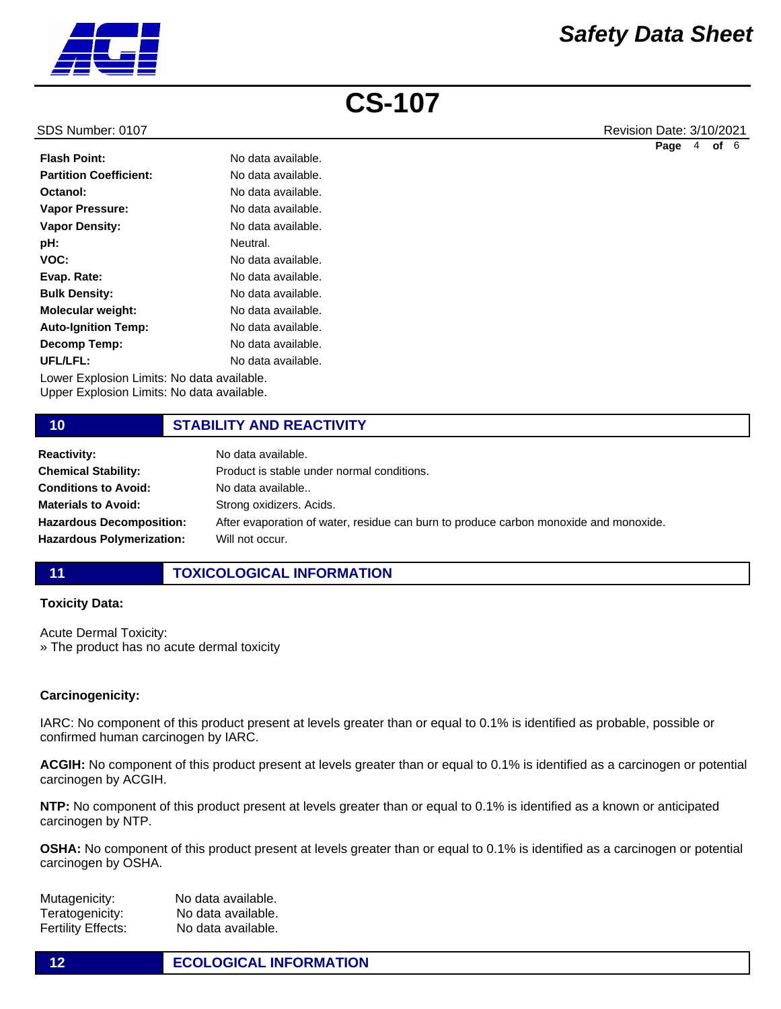

SDS Number: 0107 Revision Date: 3/10/2021 **Page** 4 **of** 6

| No data available.                         |  |  |
|--------------------------------------------|--|--|
| No data available.                         |  |  |
| No data available.                         |  |  |
| No data available.                         |  |  |
| No data available.                         |  |  |
| Neutral.                                   |  |  |
| No data available.                         |  |  |
| No data available.                         |  |  |
| No data available.                         |  |  |
| No data available.                         |  |  |
| No data available.                         |  |  |
| No data available.                         |  |  |
| No data available.                         |  |  |
| Lower Explosion Limits: No data available. |  |  |
|                                            |  |  |

Upper Explosion Limits: No data available.

### **10 STABILITY AND REACTIVITY**

| <b>Reactivity:</b>               | No data available.                                                                    |
|----------------------------------|---------------------------------------------------------------------------------------|
| <b>Chemical Stability:</b>       | Product is stable under normal conditions.                                            |
| <b>Conditions to Avoid:</b>      | No data available                                                                     |
| <b>Materials to Avoid:</b>       | Strong oxidizers. Acids.                                                              |
| <b>Hazardous Decomposition:</b>  | After evaporation of water, residue can burn to produce carbon monoxide and monoxide. |
| <b>Hazardous Polymerization:</b> | Will not occur.                                                                       |

### **11 TOXICOLOGICAL INFORMATION**

### **Toxicity Data:**

Acute Dermal Toxicity: » The product has no acute dermal toxicity

### **Carcinogenicity:**

IARC: No component of this product present at levels greater than or equal to 0.1% is identified as probable, possible or confirmed human carcinogen by IARC.

**ACGIH:** No component of this product present at levels greater than or equal to 0.1% is identified as a carcinogen or potential carcinogen by ACGIH.

**NTP:** No component of this product present at levels greater than or equal to 0.1% is identified as a known or anticipated carcinogen by NTP.

**OSHA:** No component of this product present at levels greater than or equal to 0.1% is identified as a carcinogen or potential carcinogen by OSHA.

Mutagenicity: No data available. Teratogenicity: No data available. Fertility Effects: No data available.

**12 ECOLOGICAL INFORMATION**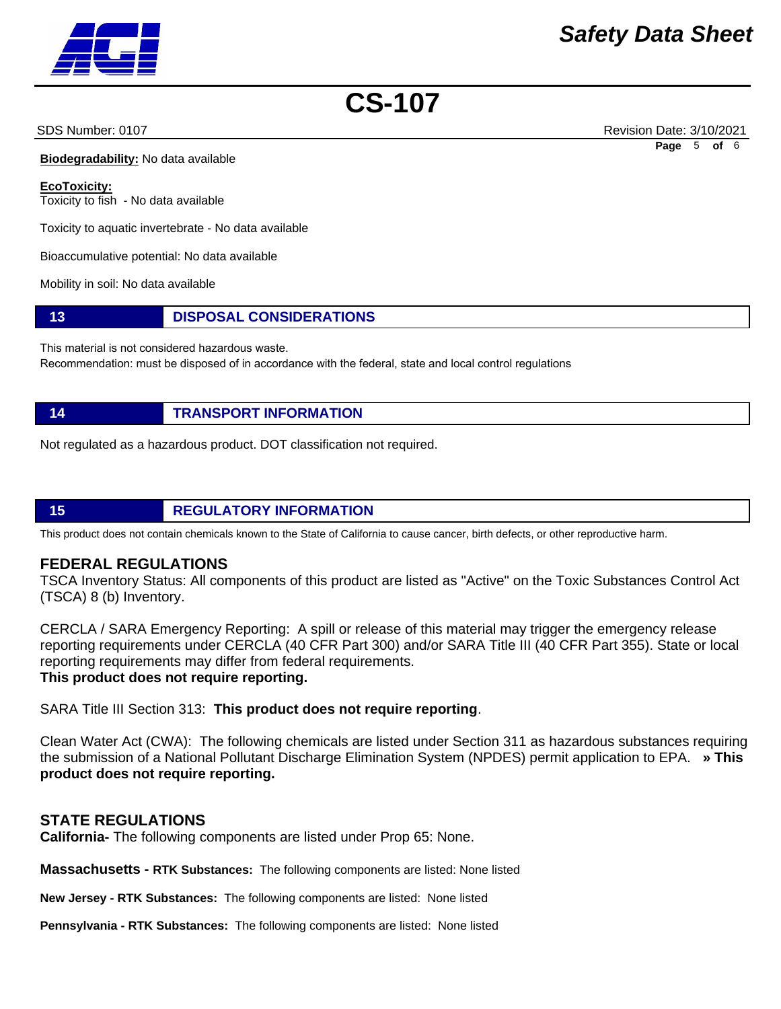SDS Number: 0107 Revision Date: 3/10/2021 **Page** 5 **of** 6

**Biodegradability:** No data available

**EcoToxicity:** Toxicity to fish - No data available

Toxicity to aquatic invertebrate - No data available

Bioaccumulative potential: No data available

Mobility in soil: No data available

**13 DISPOSAL CONSIDERATIONS**

This material is not considered hazardous waste.

Recommendation: must be disposed of in accordance with the federal, state and local control regulations

**14 TRANSPORT INFORMATION**

Not regulated as a hazardous product. DOT classification not required.

### **15 REGULATORY INFORMATION**

This product does not contain chemicals known to the State of California to cause cancer, birth defects, or other reproductive harm.

### **FEDERAL REGULATIONS**

TSCA Inventory Status: All components of this product are listed as "Active" on the Toxic Substances Control Act (TSCA) 8 (b) Inventory.

CERCLA / SARA Emergency Reporting: A spill or release of this material may trigger the emergency release reporting requirements under CERCLA (40 CFR Part 300) and/or SARA Title III (40 CFR Part 355). State or local reporting requirements may differ from federal requirements. **This product does not require reporting.**

SARA Title III Section 313: **This product does not require reporting**.

Clean Water Act (CWA): The following chemicals are listed under Section 311 as hazardous substances requiring the submission of a National Pollutant Discharge Elimination System (NPDES) permit application to EPA. **» This product does not require reporting.**

### **STATE REGULATIONS**

**California-** The following components are listed under Prop 65: None.

**Massachusetts - RTK Substances:** The following components are listed: None listed

**New Jersey - RTK Substances:** The following components are listed: None listed

**Pennsylvania - RTK Substances:** The following components are listed: None listed